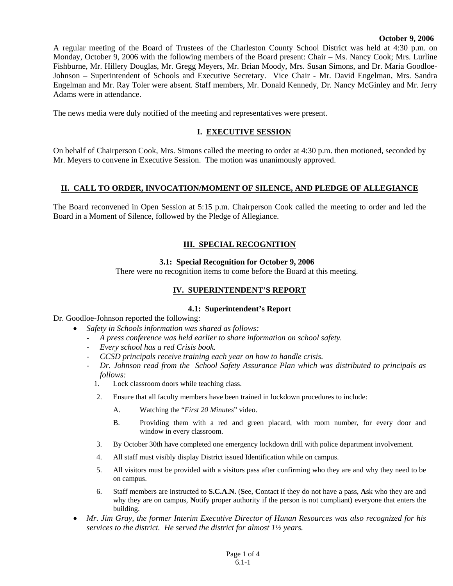#### **October 9, 2006**

A regular meeting of the Board of Trustees of the Charleston County School District was held at 4:30 p.m. on Monday, October 9, 2006 with the following members of the Board present: Chair – Ms. Nancy Cook; Mrs. Lurline Fishburne, Mr. Hillery Douglas, Mr. Gregg Meyers, Mr. Brian Moody, Mrs. Susan Simons, and Dr. Maria Goodloe-Johnson – Superintendent of Schools and Executive Secretary. Vice Chair - Mr. David Engelman, Mrs. Sandra Engelman and Mr. Ray Toler were absent. Staff members, Mr. Donald Kennedy, Dr. Nancy McGinley and Mr. Jerry Adams were in attendance.

The news media were duly notified of the meeting and representatives were present.

### **I. EXECUTIVE SESSION**

On behalf of Chairperson Cook, Mrs. Simons called the meeting to order at 4:30 p.m. then motioned, seconded by Mr. Meyers to convene in Executive Session. The motion was unanimously approved.

#### **II. CALL TO ORDER, INVOCATION/MOMENT OF SILENCE, AND PLEDGE OF ALLEGIANCE**

The Board reconvened in Open Session at 5:15 p.m. Chairperson Cook called the meeting to order and led the Board in a Moment of Silence, followed by the Pledge of Allegiance.

# **III. SPECIAL RECOGNITION**

#### **3.1: Special Recognition for October 9, 2006**

There were no recognition items to come before the Board at this meeting.

### **IV. SUPERINTENDENT'S REPORT**

#### **4.1: Superintendent's Report**

Dr. Goodloe-Johnson reported the following:

- *Safety in Schools information was shared as follows:* 
	- *A press conference was held earlier to share information on school safety.*
	- *Every school has a red Crisis book.*
	- *CCSD principals receive training each year on how to handle crisis.*
	- *Dr. Johnson read from the School Safety Assurance Plan which was distributed to principals as follows:* 
		- Lock classroom doors while teaching class.
		- 2. Ensure that all faculty members have been trained in lockdown procedures to include:
			- A. Watching the "*First 20 Minutes*" video.
			- B. Providing them with a red and green placard, with room number, for every door and window in every classroom.
		- 3. By October 30th have completed one emergency lockdown drill with police department involvement.
		- 4. All staff must visibly display District issued Identification while on campus.
		- 5. All visitors must be provided with a visitors pass after confirming who they are and why they need to be on campus.
		- 6. Staff members are instructed to **S.C.A.N.** (**S**ee, **C**ontact if they do not have a pass, **A**sk who they are and why they are on campus, **N**otify proper authority if the person is not compliant) everyone that enters the building.
- *Mr. Jim Gray, the former Interim Executive Director of Hunan Resources was also recognized for his services to the district. He served the district for almost 1½ years.*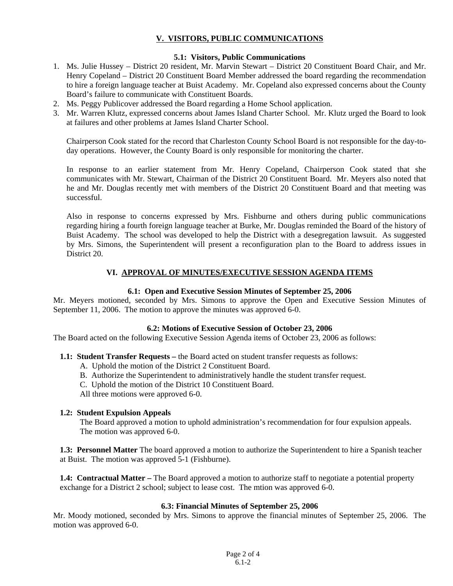## **V. VISITORS, PUBLIC COMMUNICATIONS**

## **5.1: Visitors, Public Communications**

- 1. Ms. Julie Hussey District 20 resident, Mr. Marvin Stewart District 20 Constituent Board Chair, and Mr. Henry Copeland – District 20 Constituent Board Member addressed the board regarding the recommendation to hire a foreign language teacher at Buist Academy. Mr. Copeland also expressed concerns about the County Board's failure to communicate with Constituent Boards.
- 2. Ms. Peggy Publicover addressed the Board regarding a Home School application.
- 3. Mr. Warren Klutz, expressed concerns about James Island Charter School. Mr. Klutz urged the Board to look at failures and other problems at James Island Charter School.

Chairperson Cook stated for the record that Charleston County School Board is not responsible for the day-today operations. However, the County Board is only responsible for monitoring the charter.

In response to an earlier statement from Mr. Henry Copeland, Chairperson Cook stated that she communicates with Mr. Stewart, Chairman of the District 20 Constituent Board. Mr. Meyers also noted that he and Mr. Douglas recently met with members of the District 20 Constituent Board and that meeting was successful.

Also in response to concerns expressed by Mrs. Fishburne and others during public communications regarding hiring a fourth foreign language teacher at Burke, Mr. Douglas reminded the Board of the history of Buist Academy. The school was developed to help the District with a desegregation lawsuit. As suggested by Mrs. Simons, the Superintendent will present a reconfiguration plan to the Board to address issues in District 20.

## **VI. APPROVAL OF MINUTES/EXECUTIVE SESSION AGENDA ITEMS**

### **6.1: Open and Executive Session Minutes of September 25, 2006**

Mr. Meyers motioned, seconded by Mrs. Simons to approve the Open and Executive Session Minutes of September 11, 2006. The motion to approve the minutes was approved 6-0.

#### **6.2: Motions of Executive Session of October 23, 2006**

The Board acted on the following Executive Session Agenda items of October 23, 2006 as follows:

#### **1.1: Student Transfer Requests –** the Board acted on student transfer requests as follows:

- A. Uphold the motion of the District 2 Constituent Board.
- B. Authorize the Superintendent to administratively handle the student transfer request.
- C. Uphold the motion of the District 10 Constituent Board.

All three motions were approved 6-0.

#### **1.2: Student Expulsion Appeals**

 The Board approved a motion to uphold administration's recommendation for four expulsion appeals. The motion was approved 6-0.

**1.3: Personnel Matter** The board approved a motion to authorize the Superintendent to hire a Spanish teacher at Buist. The motion was approved 5-1 (Fishburne).

**1.4: Contractual Matter –** The Board approved a motion to authorize staff to negotiate a potential property exchange for a District 2 school; subject to lease cost. The mtion was approved 6-0.

#### **6.3: Financial Minutes of September 25, 2006**

Mr. Moody motioned, seconded by Mrs. Simons to approve the financial minutes of September 25, 2006. The motion was approved 6-0.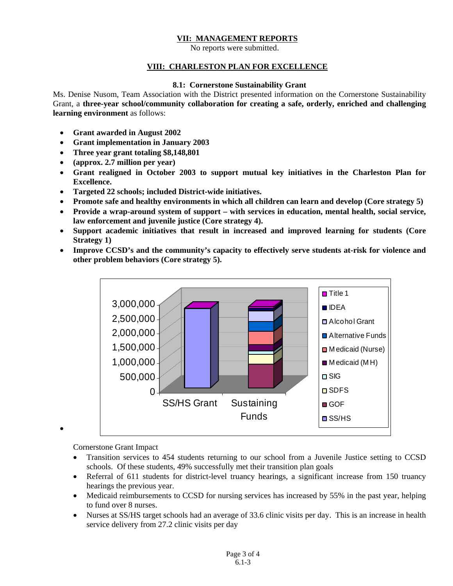## **VII: MANAGEMENT REPORTS**

No reports were submitted.

#### **VIII: CHARLESTON PLAN FOR EXCELLENCE**

#### **8.1: Cornerstone Sustainability Grant**

Ms. Denise Nusom, Team Association with the District presented information on the Cornerstone Sustainability Grant, a **three-year school/community collaboration for creating a safe, orderly, enriched and challenging learning environment** as follows:

- **Grant awarded in August 2002**
- **Grant implementation in January 2003**
- **Three year grant totaling \$8,148,801**
- **(approx. 2.7 million per year)**
- **Grant realigned in October 2003 to support mutual key initiatives in the Charleston Plan for Excellence.**
- **Targeted 22 schools; included District-wide initiatives.**
- **Promote safe and healthy environments in which all children can learn and develop (Core strategy 5)**
- **Provide a wrap-around system of support with services in education, mental health, social service, law enforcement and juvenile justice (Core strategy 4).**
- **Support academic initiatives that result in increased and improved learning for students (Core Strategy 1)**
- **Improve CCSD's and the community's capacity to effectively serve students at-risk for violence and other problem behaviors (Core strategy 5).**



Cornerstone Grant Impact

•

- Transition services to 454 students returning to our school from a Juvenile Justice setting to CCSD schools. Of these students, 49% successfully met their transition plan goals
- Referral of 611 students for district-level truancy hearings, a significant increase from 150 truancy hearings the previous year.
- Medicaid reimbursements to CCSD for nursing services has increased by 55% in the past year, helping to fund over 8 nurses.
- Nurses at SS/HS target schools had an average of 33.6 clinic visits per day. This is an increase in health service delivery from 27.2 clinic visits per day